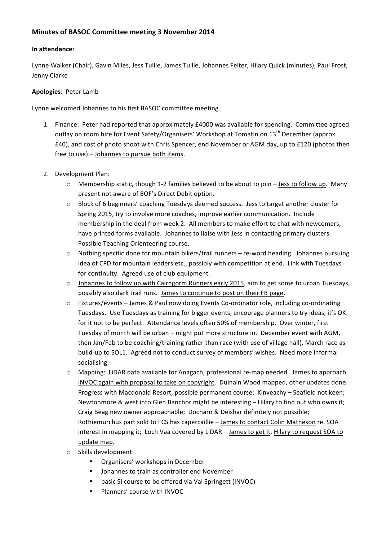## **Minutes of BASOC Committee meeting 3 November 2014**

### **In attendance**:

Lynne Walker (Chair), Gavin Miles, Jess Tullie, James Tullie, Johannes Felter, Hilary Quick (minutes), Paul Frost, Jenny Clarke

## Apologies: Peter Lamb

Lynne welcomed Johannes to his first BASOC committee meeting.

- 1. Finance: Peter had reported that approximately £4000 was available for spending. Committee agreed outlay on room hire for Event Safety/Organisers' Workshop at Tomatin on 13<sup>th</sup> December (approx. £40), and cost of photo shoot with Chris Spencer, end November or AGM day, up to £120 (photos then free to use)  $-$  Johannes to pursue both items.
- 2. Development Plan:
	- $\circ$  Membership static, though 1-2 families believed to be about to join Jess to follow up. Many present not aware of BOF's Direct Debit option.
	- o Block of 6 beginners' coaching Tuesdays deemed success. Jess to target another cluster for Spring 2015, try to involve more coaches, improve earlier communication. Include membership in the deal from week 2. All members to make effort to chat with newcomers, have printed forms available. Johannes to liaise with Jess in contacting primary clusters. Possible Teaching Orienteering course.
	- $\circ$  Nothing specific done for mountain bikers/trail runners re-word heading. Johannes pursuing idea of CPD for mountain leaders etc., possibly with competition at end. Link with Tuesdays for continuity. Agreed use of club equipment.
	- o Johannes to follow up with Cairngorm Runners early 2015, aim to get some to urban Tuesdays, possibly also dark trail runs. James to continue to post on their FB page.
	- $\circ$  Fixtures/events James & Paul now doing Events Co-ordinator role, including co-ordinating Tuesdays. Use Tuesdays as training for bigger events, encourage planners to try ideas, it's OK for it not to be perfect. Attendance levels often 50% of membership. Over winter, first Tuesday of month will be urban – might put more structure in. December event with AGM, then Jan/Feb to be coaching/training rather than race (with use of village hall), March race as build-up to SOL1. Agreed not to conduct survey of members' wishes. Need more informal socialising.
	- $\circ$  Mapping: LiDAR data available for Anagach, professional re-map needed. James to approach INVOC again with proposal to take on copyright. Dulnain Wood mapped, other updates done. Progress with Macdonald Resort, possible permanent course; Kinveachy - Seafield not keen; Newtonmore & west into Glen Banchor might be interesting – Hilary to find out who owns it; Craig Beag new owner approachable; Docharn & Deishar definitely not possible; Rothiemurchus part sold to FCS has capercaillie - James to contact Colin Matheson re. SOA interest in mapping it; Loch Vaa covered by LiDAR - James to get it, Hilary to request SOA to update map.
	- o Skills development:
		- Organisers' workshops in December
		- Johannes to train as controller end November
		- basic SI course to be offered via Val Springett (INVOC)
		- Planners' course with INVOC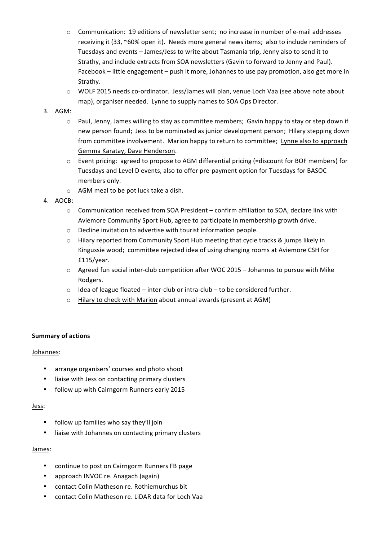- $\circ$  Communication: 19 editions of newsletter sent; no increase in number of e-mail addresses receiving it (33, ~60% open it). Needs more general news items; also to include reminders of Tuesdays and events – James/Jess to write about Tasmania trip, Jenny also to send it to Strathy, and include extracts from SOA newsletters (Gavin to forward to Jenny and Paul). Facebook – little engagement – push it more, Johannes to use pay promotion, also get more in Strathy.
- $\circ$  WOLF 2015 needs co-ordinator. Jess/James will plan, venue Loch Vaa (see above note about map), organiser needed. Lynne to supply names to SOA Ops Director.

### 3. AGM:

- $\circ$  Paul, Jenny, James willing to stay as committee members; Gavin happy to stay or step down if new person found; Jess to be nominated as junior development person; Hilary stepping down from committee involvement. Marion happy to return to committee; Lynne also to approach Gemma Karatay, Dave Henderson.
- $\circ$  Event pricing: agreed to propose to AGM differential pricing (=discount for BOF members) for Tuesdays and Level D events, also to offer pre-payment option for Tuesdays for BASOC members only.
- $\circ$  AGM meal to be pot luck take a dish.
- 4. AOCB:
	- $\circ$  Communication received from SOA President confirm affiliation to SOA, declare link with Aviemore Community Sport Hub, agree to participate in membership growth drive.
	- $\circ$  Decline invitation to advertise with tourist information people.
	- $\circ$  Hilary reported from Community Sport Hub meeting that cycle tracks & jumps likely in Kingussie wood; committee rejected idea of using changing rooms at Aviemore CSH for £115/year.
	- $\circ$  Agreed fun social inter-club competition after WOC 2015 Johannes to pursue with Mike Rodgers.
	- $\circ$  Idea of league floated inter-club or intra-club to be considered further.
	- $\circ$  Hilary to check with Marion about annual awards (present at AGM)

## **Summary of actions**

#### Johannes:

- arrange organisers' courses and photo shoot
- liaise with Jess on contacting primary clusters
- follow up with Cairngorm Runners early 2015

#### Jess:

- follow up families who say they'll join
- liaise with Johannes on contacting primary clusters

#### James:

- continue to post on Cairngorm Runners FB page
- approach INVOC re. Anagach (again)
- contact Colin Matheson re. Rothiemurchus bit
- contact Colin Matheson re. LiDAR data for Loch Vaa